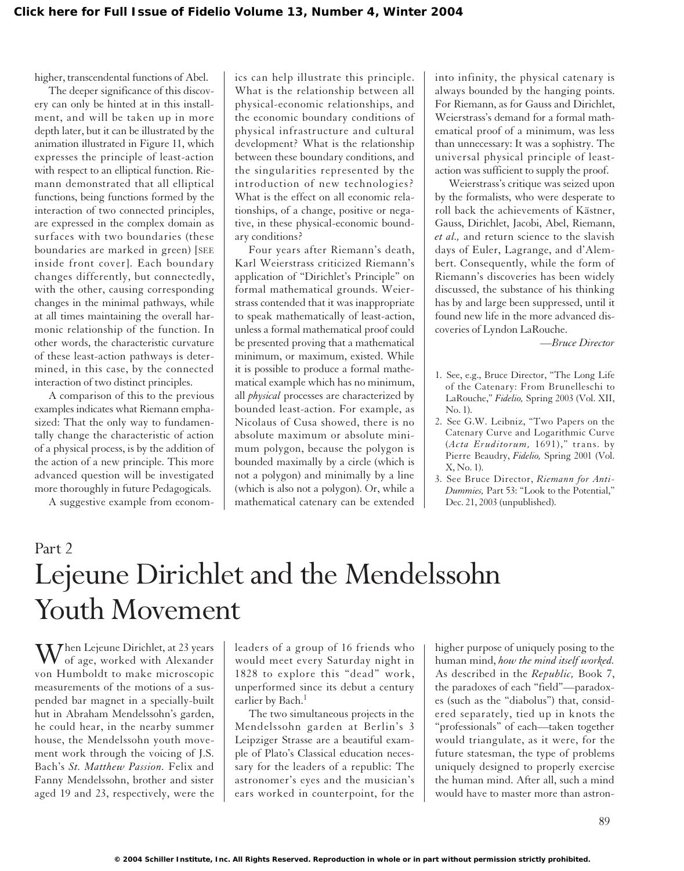higher, transcendental functions of Abel.

The deeper significance of this discovery can only be hinted at in this installment, and will be taken up in more depth later, but it can be illustrated by the animation illustrated in Figure 11, which expresses the principle of least-action with respect to an elliptical function. Riemann demonstrated that all elliptical functions, being functions formed by the interaction of two connected principles, are expressed in the complex domain as surfaces with two boundaries (these boundaries are marked in green) [SEE inside front cover]. Each boundary changes differently, but connectedly, with the other, causing corresponding changes in the minimal pathways, while at all times maintaining the overall harmonic relationship of the function. In other words, the characteristic curvature of these least-action pathways is determined, in this case, by the connected interaction of two distinct principles.

A comparison of this to the previous examples indicates what Riemann emphasized: That the only way to fundamentally change the characteristic of action of a physical process, is by the addition of the action of a new principle. This more advanced question will be investigated more thoroughly in future Pedagogicals.

A suggestive example from econom-

ics can help illustrate this principle. What is the relationship between all physical-economic relationships, and the economic boundary conditions of physical infrastructure and cultural development? What is the relationship between these boundary conditions, and the singularities represented by the introduction of new technologies? What is the effect on all economic relationships, of a change, positive or negative, in these physical-economic boundary conditions?

Four years after Riemann's death, Karl Weierstrass criticized Riemann's application of "Dirichlet's Principle" on formal mathematical grounds. Weierstrass contended that it was inappropriate to speak mathematically of least-action, unless a formal mathematical proof could be presented proving that a mathematical minimum, or maximum, existed. While it is possible to produce a formal mathematical example which has no minimum, all *physical* processes are characterized by bounded least-action. For example, as Nicolaus of Cusa showed, there is no absolute maximum or absolute minimum polygon, because the polygon is bounded maximally by a circle (which is not a polygon) and minimally by a line (which is also not a polygon). Or, while a mathematical catenary can be extended

into infinity, the physical catenary is always bounded by the hanging points. For Riemann, as for Gauss and Dirichlet, Weierstrass's demand for a formal mathematical proof of a minimum, was less than unnecessary: It was a sophistry. The universal physical principle of leastaction was sufficient to supply the proof.

Weierstrass's critique was seized upon by the formalists, who were desperate to roll back the achievements of Kästner, Gauss, Dirichlet, Jacobi, Abel, Riemann, *et al.,* and return science to the slavish days of Euler, Lagrange, and d'Alembert. Consequently, while the form of Riemann's discoveries has been widely discussed, the substance of his thinking has by and large been suppressed, until it found new life in the more advanced discoveries of Lyndon LaRouche.

*—Bruce Director*

- 1. See, e.g., Bruce Director, "The Long Life of the Catenary: From Brunelleschi to LaRouche," *Fidelio,* Spring 2003 (Vol. XII, No. 1).
- 2. See G.W. Leibniz, "Two Papers on the Catenary Curve and Logarithmic Curve (*Acta Eruditorum,* 1691)," trans. by Pierre Beaudry, *Fidelio,* Spring 2001 (Vol. X, No. 1).
- 3. See Bruce Director, *Riemann for Anti-Dummies,* Part 53: "Look to the Potential," Dec. 21, 2003 (unpublished).

# Part 2 Lejeune Dirichlet and the Mendelssohn Youth Movement

 $\mathbf{W}$ hen Lejeune Dirichlet, at 23 years of age, worked with Alexander von Humboldt to make microscopic measurements of the motions of a suspended bar magnet in a specially-built hut in Abraham Mendelssohn's garden, he could hear, in the nearby summer house, the Mendelssohn youth movement work through the voicing of J.S. Bach's *St. Matthew Passion.* Felix and Fanny Mendelssohn, brother and sister aged 19 and 23, respectively, were the

leaders of a group of 16 friends who would meet every Saturday night in 1828 to explore this "dead" work, unperformed since its debut a century earlier by Bach.<sup>1</sup>

The two simultaneous projects in the Mendelssohn garden at Berlin's 3 Leipziger Strasse are a beautiful example of Plato's Classical education necessary for the leaders of a republic: The astronomer's eyes and the musician's ears worked in counterpoint, for the

higher purpose of uniquely posing to the human mind, *how the mind itself worked.* As described in the *Republic,* Book 7, the paradoxes of each "field"—paradoxes (such as the "diabolus") that, considered separately, tied up in knots the "professionals" of each—taken together would triangulate, as it were, for the future statesman, the type of problems uniquely designed to properly exercise the human mind. After all, such a mind would have to master more than astron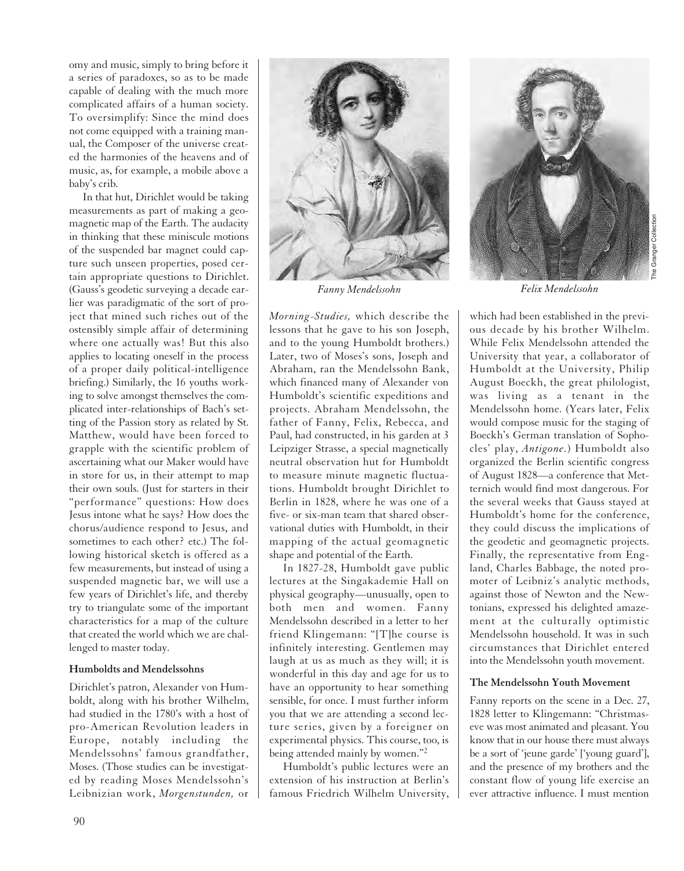omy and music, simply to bring before it a series of paradoxes, so as to be made capable of dealing with the much more complicated affairs of a human society. To oversimplify: Since the mind does not come equipped with a training manual, the Composer of the universe created the harmonies of the heavens and of music, as, for example, a mobile above a baby's crib.

In that hut, Dirichlet would be taking measurements as part of making a geomagnetic map of the Earth. The audacity in thinking that these miniscule motions of the suspended bar magnet could capture such unseen properties, posed certain appropriate questions to Dirichlet. (Gauss's geodetic surveying a decade earlier was paradigmatic of the sort of project that mined such riches out of the ostensibly simple affair of determining where one actually was! But this also applies to locating oneself in the process of a proper daily political-intelligence briefing.) Similarly, the 16 youths working to solve amongst themselves the complicated inter-relationships of Bach's setting of the Passion story as related by St. Matthew, would have been forced to grapple with the scientific problem of ascertaining what our Maker would have in store for us, in their attempt to map their own souls. (Just for starters in their "performance" questions: How does Jesus intone what he says? How does the chorus/audience respond to Jesus, and sometimes to each other? etc.) The following historical sketch is offered as a few measurements, but instead of using a suspended magnetic bar, we will use a few years of Dirichlet's life, and thereby try to triangulate some of the important characteristics for a map of the culture that created the world which we are challenged to master today.

#### **Humboldts and Mendelssohns**

Dirichlet's patron, Alexander von Humboldt, along with his brother Wilhelm, had studied in the 1780's with a host of pro-American Revolution leaders in Europe, notably including the Mendelssohns' famous grandfather, Moses. (Those studies can be investigated by reading Moses Mendelssohn's Leibnizian work, *Morgenstunden,* or



*Fanny Mendelssohn*

*Morning-Studies,* which describe the lessons that he gave to his son Joseph, and to the young Humboldt brothers.) Later, two of Moses's sons, Joseph and Abraham, ran the Mendelssohn Bank, which financed many of Alexander von Humboldt's scientific expeditions and projects. Abraham Mendelssohn, the father of Fanny, Felix, Rebecca, and Paul, had constructed, in his garden at 3 Leipziger Strasse, a special magnetically neutral observation hut for Humboldt to measure minute magnetic fluctuations. Humboldt brought Dirichlet to Berlin in 1828, where he was one of a five- or six-man team that shared observational duties with Humboldt, in their mapping of the actual geomagnetic shape and potential of the Earth.

In 1827-28, Humboldt gave public lectures at the Singakademie Hall on physical geography—unusually, open to both men and women. Fanny Mendelssohn described in a letter to her friend Klingemann: "[T]he course is infinitely interesting. Gentlemen may laugh at us as much as they will; it is wonderful in this day and age for us to have an opportunity to hear something sensible, for once. I must further inform you that we are attending a second lecture series, given by a foreigner on experimental physics. This course, too, is being attended mainly by women."<sup>2</sup>

Humboldt's public lectures were an extension of his instruction at Berlin's famous Friedrich Wilhelm University,



The Granger Collection Granger Collection

*Felix Mendelssohn*

which had been established in the previous decade by his brother Wilhelm. While Felix Mendelssohn attended the University that year, a collaborator of Humboldt at the University, Philip August Boeckh, the great philologist, was living as a tenant in the Mendelssohn home. (Years later, Felix would compose music for the staging of Boeckh's German translation of Sophocles' play, *Antigone.*) Humboldt also organized the Berlin scientific congress of August 1828—a conference that Metternich would find most dangerous. For the several weeks that Gauss stayed at Humboldt's home for the conference, they could discuss the implications of the geodetic and geomagnetic projects. Finally, the representative from England, Charles Babbage, the noted promoter of Leibniz's analytic methods, against those of Newton and the Newtonians, expressed his delighted amazement at the culturally optimistic Mendelssohn household. It was in such circumstances that Dirichlet entered into the Mendelssohn youth movement.

## **The Mendelssohn Youth Movement**

Fanny reports on the scene in a Dec. 27, 1828 letter to Klingemann: "Christmaseve was most animated and pleasant. You know that in our house there must always be a sort of 'jeune garde' ['young guard'], and the presence of my brothers and the constant flow of young life exercise an ever attractive influence. I must mention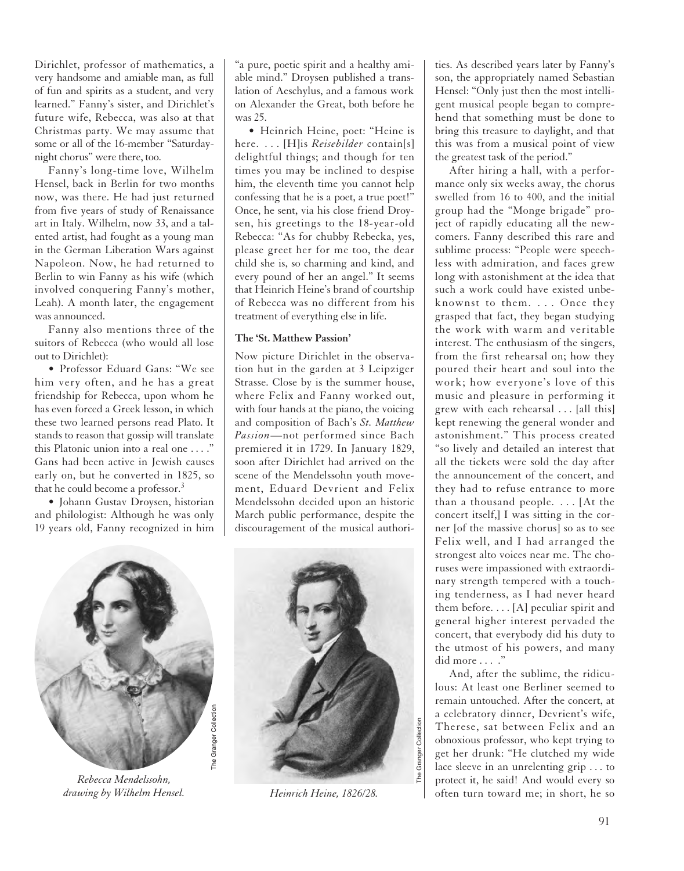Dirichlet, professor of mathematics, a very handsome and amiable man, as full of fun and spirits as a student, and very learned." Fanny's sister, and Dirichlet's future wife, Rebecca, was also at that Christmas party. We may assume that some or all of the 16-member "Saturdaynight chorus" were there, too.

Fanny's long-time love, Wilhelm Hensel, back in Berlin for two months now, was there. He had just returned from five years of study of Renaissance art in Italy. Wilhelm, now 33, and a talented artist, had fought as a young man in the German Liberation Wars against Napoleon. Now, he had returned to Berlin to win Fanny as his wife (which involved conquering Fanny's mother, Leah). A month later, the engagement was announced.

Fanny also mentions three of the suitors of Rebecca (who would all lose out to Dirichlet):

• Professor Eduard Gans: "We see him very often, and he has a great friendship for Rebecca, upon whom he has even forced a Greek lesson, in which these two learned persons read Plato. It stands to reason that gossip will translate this Platonic union into a real one . . . ." Gans had been active in Jewish causes early on, but he converted in 1825, so that he could become a professor.<sup>3</sup>

• Johann Gustav Droysen, historian and philologist: Although he was only 19 years old, Fanny recognized in him "a pure, poetic spirit and a healthy amiable mind." Droysen published a translation of Aeschylus, and a famous work on Alexander the Great, both before he was 25.

• Heinrich Heine, poet: "Heine is here. . . . [H]is *Reisebilder* contain[s] delightful things; and though for ten times you may be inclined to despise him, the eleventh time you cannot help confessing that he is a poet, a true poet!" Once, he sent, via his close friend Droysen, his greetings to the 18-year-old Rebecca: "As for chubby Rebecka, yes, please greet her for me too, the dear child she is, so charming and kind, and every pound of her an angel." It seems that Heinrich Heine's brand of courtship of Rebecca was no different from his treatment of everything else in life.

#### **The 'St. Matthew Passion'**

Now picture Dirichlet in the observation hut in the garden at 3 Leipziger Strasse. Close by is the summer house, where Felix and Fanny worked out, with four hands at the piano, the voicing and composition of Bach's *St. Matthew Passion*—not performed since Bach premiered it in 1729. In January 1829, soon after Dirichlet had arrived on the scene of the Mendelssohn youth movement, Eduard Devrient and Felix Mendelssohn decided upon an historic March public performance, despite the discouragement of the musical authori-



*Rebecca Mendelssohn, drawing by Wilhelm Hensel.*



*Heinrich Heine, 1826/28.*

ties. As described years later by Fanny's son, the appropriately named Sebastian Hensel: "Only just then the most intelligent musical people began to comprehend that something must be done to bring this treasure to daylight, and that this was from a musical point of view the greatest task of the period."

After hiring a hall, with a performance only six weeks away, the chorus swelled from 16 to 400, and the initial group had the "Monge brigade" project of rapidly educating all the newcomers. Fanny described this rare and sublime process: "People were speechless with admiration, and faces grew long with astonishment at the idea that such a work could have existed unbeknownst to them. . . . Once they grasped that fact, they began studying the work with warm and veritable interest. The enthusiasm of the singers, from the first rehearsal on; how they poured their heart and soul into the work; how everyone's love of this music and pleasure in performing it grew with each rehearsal . . . [all this] kept renewing the general wonder and astonishment." This process created "so lively and detailed an interest that all the tickets were sold the day after the announcement of the concert, and they had to refuse entrance to more than a thousand people. . . . [At the concert itself,] I was sitting in the corner [of the massive chorus] so as to see Felix well, and I had arranged the strongest alto voices near me. The choruses were impassioned with extraordinary strength tempered with a touching tenderness, as I had never heard them before. . . . [A] peculiar spirit and general higher interest pervaded the concert, that everybody did his duty to the utmost of his powers, and many did more . . . ."

And, after the sublime, the ridiculous: At least one Berliner seemed to remain untouched. After the concert, at a celebratory dinner, Devrient's wife, Therese, sat between Felix and an obnoxious professor, who kept trying to get her drunk: "He clutched my wide lace sleeve in an unrelenting grip . . . to protect it, he said! And would every so often turn toward me; in short, he so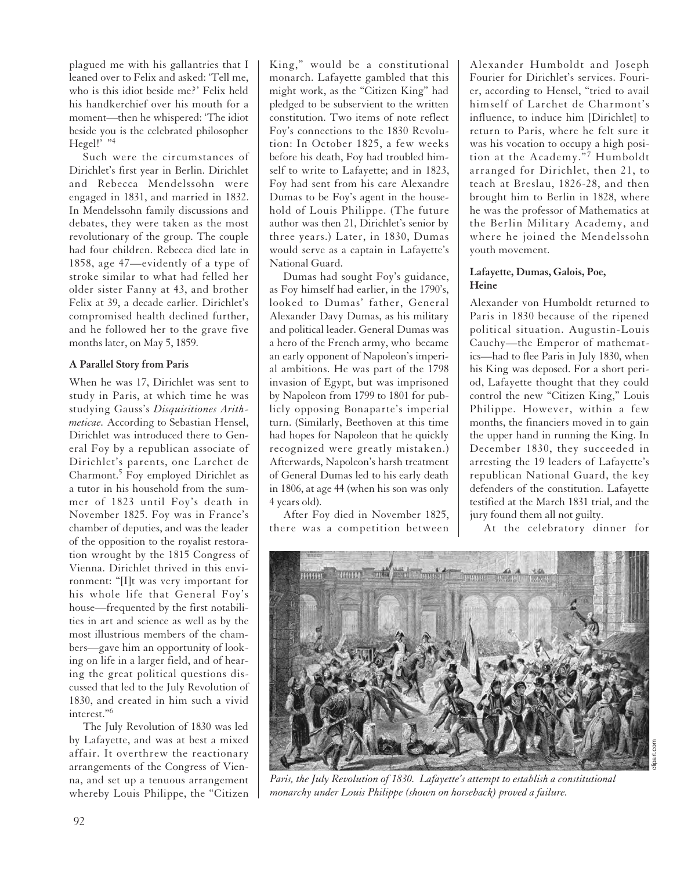plagued me with his gallantries that I leaned over to Felix and asked: 'Tell me, who is this idiot beside me?' Felix held his handkerchief over his mouth for a moment—then he whispered: 'The idiot beside you is the celebrated philosopher Hegel!' "4

Such were the circumstances of Dirichlet's first year in Berlin. Dirichlet and Rebecca Mendelssohn were engaged in 1831, and married in 1832. In Mendelssohn family discussions and debates, they were taken as the most revolutionary of the group. The couple had four children. Rebecca died late in 1858, age 47—evidently of a type of stroke similar to what had felled her older sister Fanny at 43, and brother Felix at 39, a decade earlier. Dirichlet's compromised health declined further, and he followed her to the grave five months later, on May 5, 1859.

## **A Parallel Story from Paris**

When he was 17, Dirichlet was sent to study in Paris, at which time he was studying Gauss's *Disquisitiones Arithmeticae.* According to Sebastian Hensel, Dirichlet was introduced there to General Foy by a republican associate of Dirichlet's parents, one Larchet de Charmont.<sup>5</sup> Foy employed Dirichlet as a tutor in his household from the summer of 1823 until Foy's death in November 1825. Foy was in France's chamber of deputies, and was the leader of the opposition to the royalist restoration wrought by the 1815 Congress of Vienna. Dirichlet thrived in this environment: "[I]t was very important for his whole life that General Foy's house—frequented by the first notabilities in art and science as well as by the most illustrious members of the chambers—gave him an opportunity of looking on life in a larger field, and of hearing the great political questions discussed that led to the July Revolution of 1830, and created in him such a vivid interest."6

The July Revolution of 1830 was led by Lafayette, and was at best a mixed affair. It overthrew the reactionary arrangements of the Congress of Vienna, and set up a tenuous arrangement whereby Louis Philippe, the "Citizen King," would be a constitutional monarch. Lafayette gambled that this might work, as the "Citizen King" had pledged to be subservient to the written constitution. Two items of note reflect Foy's connections to the 1830 Revolution: In October 1825, a few weeks before his death, Foy had troubled himself to write to Lafayette; and in 1823, Foy had sent from his care Alexandre Dumas to be Foy's agent in the household of Louis Philippe. (The future author was then 21, Dirichlet's senior by three years.) Later, in 1830, Dumas would serve as a captain in Lafayette's National Guard.

Dumas had sought Foy's guidance, as Foy himself had earlier, in the 1790's, looked to Dumas' father, General Alexander Davy Dumas, as his military and political leader. General Dumas was a hero of the French army, who became an early opponent of Napoleon's imperial ambitions. He was part of the 1798 invasion of Egypt, but was imprisoned by Napoleon from 1799 to 1801 for publicly opposing Bonaparte's imperial turn. (Similarly, Beethoven at this time had hopes for Napoleon that he quickly recognized were greatly mistaken.) Afterwards, Napoleon's harsh treatment of General Dumas led to his early death in 1806, at age 44 (when his son was only 4 years old).

After Foy died in November 1825, there was a competition between

Alexander Humboldt and Joseph Fourier for Dirichlet's services. Fourier, according to Hensel, "tried to avail himself of Larchet de Charmont's influence, to induce him [Dirichlet] to return to Paris, where he felt sure it was his vocation to occupy a high position at the Academy."<sup>7</sup> Humboldt arranged for Dirichlet, then 21, to teach at Breslau, 1826-28, and then brought him to Berlin in 1828, where he was the professor of Mathematics at the Berlin Military Academy, and where he joined the Mendelssohn youth movement.

## **Lafayette, Dumas, Galois, Poe, Heine**

Alexander von Humboldt returned to Paris in 1830 because of the ripened political situation. Augustin-Louis Cauchy—the Emperor of mathematics—had to flee Paris in July 1830, when his King was deposed. For a short period, Lafayette thought that they could control the new "Citizen King," Louis Philippe. However, within a few months, the financiers moved in to gain the upper hand in running the King. In December 1830, they succeeded in arresting the 19 leaders of Lafayette's republican National Guard, the key defenders of the constitution. Lafayette testified at the March 1831 trial, and the jury found them all not guilty.

At the celebratory dinner for